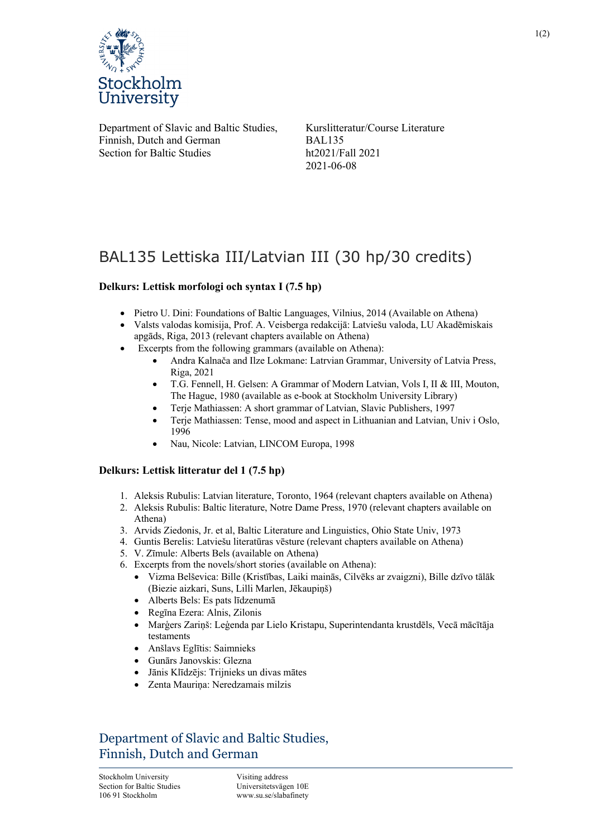

Department of Slavic and Baltic Studies, Finnish, Dutch and German Section for Baltic Studies

Kurslitteratur/Course Literature BAL135 ht2021/Fall 2021 2021-06-08

# BAL135 Lettiska III/Latvian III (30 hp/30 credits)

### **Delkurs: Lettisk morfologi och syntax I (7.5 hp)**

- Pietro U. Dini: Foundations of Baltic Languages, Vilnius, 2014 (Available on Athena)
- Valsts valodas komisija, Prof. A. Veisberga redakcijā: Latviešu valoda, LU Akadēmiskais apgāds, Riga, 2013 (relevant chapters available on Athena)
- Excerpts from the following grammars (available on Athena):
	- Andra Kalnača and Ilze Lokmane: Latrvian Grammar, University of Latvia Press, Riga, 2021
	- T.G. Fennell, H. Gelsen: A Grammar of Modern Latvian, Vols I, II & III, Mouton, The Hague, 1980 (available as e-book at Stockholm University Library)
	- Terje Mathiassen: A short grammar of Latvian, Slavic Publishers, 1997
	- Terje Mathiassen: Tense, mood and aspect in Lithuanian and Latvian, Univ i Oslo, 1996
	- Nau, Nicole: Latvian, LINCOM Europa, 1998

#### **Delkurs: Lettisk litteratur del 1 (7.5 hp)**

- 1. Aleksis Rubulis: Latvian literature, Toronto, 1964 (relevant chapters available on Athena)
- 2. Aleksis Rubulis: Baltic literature, Notre Dame Press, 1970 (relevant chapters available on Athena)
- 3. Arvids Ziedonis, Jr. et al, Baltic Literature and Linguistics, Ohio State Univ, 1973
- 4. Guntis Berelis: Latviešu literatūras vēsture (relevant chapters available on Athena)
- 5. V. Zīmule: Alberts Bels (available on Athena)
- 6. Excerpts from the novels/short stories (available on Athena):
	- Vizma Belševica: Bille (Kristības, Laiki mainās, Cilvēks ar zvaigzni), Bille dzīvo tālāk (Biezie aizkari, Suns, Lilli Marlen, Jēkaupiņš)
	- Alberts Bels: Es pats līdzenumā
	- Regīna Ezera: Alnis, Zilonis
	- Marģers Zariņš: Leģenda par Lielo Kristapu, Superintendanta krustdēls, Vecā mācītāja testaments
	- Anšlavs Eglītis: Saimnieks
	- Gunārs Janovskis: Glezna
	- Jānis Klīdzējs: Trijnieks un divas mātes
	- Zenta Mauriņa: Neredzamais milzis

## Department of Slavic and Baltic Studies, Finnish, Dutch and German